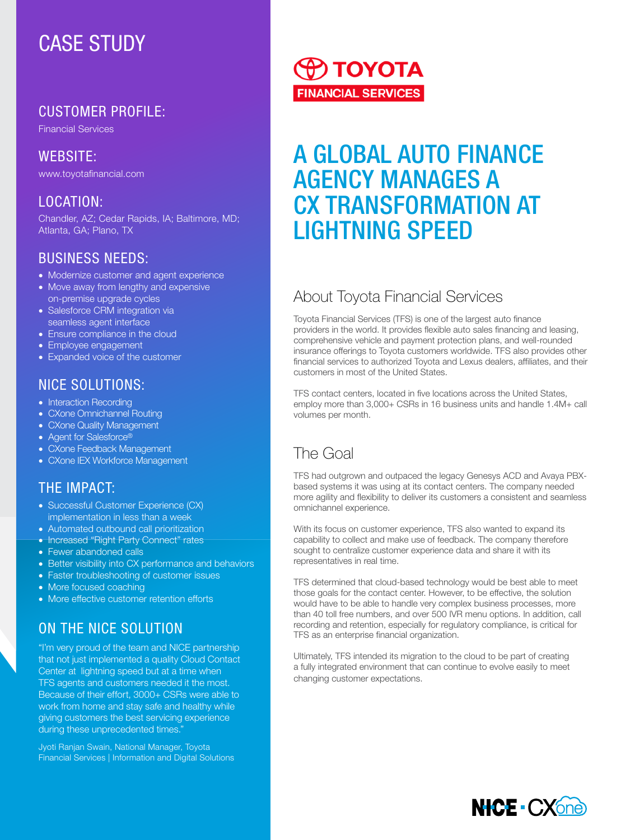# CASE STUDY

## CUSTOMER PROFILE:

Financial Services

WEBSITE: www.toyotafinancial.com

#### LOCATION:

Chandler, AZ; Cedar Rapids, IA; Baltimore, MD; Atlanta, GA; Plano, TX

#### BUSINESS NEEDS:

- Modernize customer and agent experience
- Move away from lengthy and expensive on-premise upgrade cycles
- Salesforce CRM integration via seamless agent interface
- Ensure compliance in the cloud
- Employee engagement
- Expanded voice of the customer

#### NICE SOLUTIONS:

- Interaction Recording
- CXone Omnichannel Routing
- CXone Quality Management
- Agent for Salesforce®
- CXone Feedback Management
- CXone IEX Workforce Management

## THE IMPACT:

- Successful Customer Experience (CX) implementation in less than a week
- Automated outbound call prioritization
- Increased "Right Party Connect" rates
- Fewer abandoned calls
- Better visibility into CX performance and behaviors
- Faster troubleshooting of customer issues
- More focused coaching
- More effective customer retention efforts

# ON THE NICE SOLUTION

"I'm very proud of the team and NICE partnership that not just implemented a quality Cloud Contact Center at lightning speed but at a time when TFS agents and customers needed it the most. Because of their effort, 3000+ CSRs were able to work from home and stay safe and healthy while giving customers the best servicing experience during these unprecedented times."

Jyoti Ranjan Swain, National Manager, Toyota Financial Services | Information and Digital Solutions

# **O TOYOTA FINANCIAL SERVICES**

# A GLOBAL AUTO FINANCE AGENCY MANAGES A CX TRANSFORMATION AT LIGHTNING SPEED

# About Toyota Financial Services

Toyota Financial Services (TFS) is one of the largest auto finance providers in the world. It provides flexible auto sales financing and leasing, comprehensive vehicle and payment protection plans, and well-rounded insurance offerings to Toyota customers worldwide. TFS also provides other financial services to authorized Toyota and Lexus dealers, affiliates, and their customers in most of the United States.

TFS contact centers, located in five locations across the United States, employ more than 3,000+ CSRs in 16 business units and handle 1.4M+ call volumes per month.

# The Goal

TFS had outgrown and outpaced the legacy Genesys ACD and Avaya PBXbased systems it was using at its contact centers. The company needed more agility and flexibility to deliver its customers a consistent and seamless omnichannel experience.

With its focus on customer experience, TFS also wanted to expand its capability to collect and make use of feedback. The company therefore sought to centralize customer experience data and share it with its representatives in real time.

TFS determined that cloud-based technology would be best able to meet those goals for the contact center. However, to be effective, the solution would have to be able to handle very complex business processes, more than 40 toll free numbers, and over 500 IVR menu options. In addition, call recording and retention, especially for regulatory compliance, is critical for TFS as an enterprise financial organization.

Ultimately, TFS intended its migration to the cloud to be part of creating a fully integrated environment that can continue to evolve easily to meet changing customer expectations.

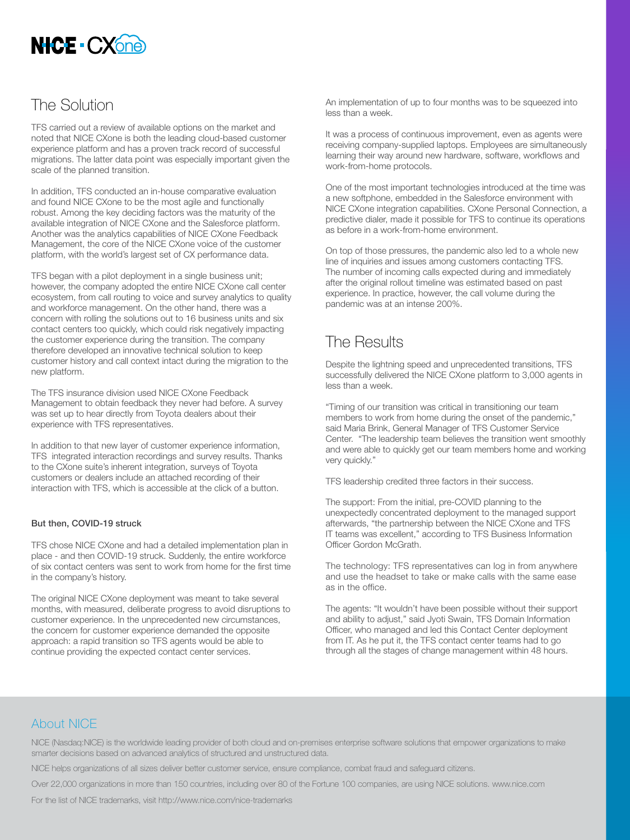

#### The Solution

TFS carried out a review of available options on the market and noted that NICE CXone is both the leading cloud-based customer experience platform and has a proven track record of successful migrations. The latter data point was especially important given the scale of the planned transition.

In addition, TFS conducted an in-house comparative evaluation and found NICE CXone to be the most agile and functionally robust. Among the key deciding factors was the maturity of the available integration of NICE CXone and the Salesforce platform. Another was the analytics capabilities of NICE CXone Feedback Management, the core of the NICE CXone voice of the customer platform, with the world's largest set of CX performance data.

TFS began with a pilot deployment in a single business unit; however, the company adopted the entire NICE CXone call center ecosystem, from call routing to voice and survey analytics to quality and workforce management. On the other hand, there was a concern with rolling the solutions out to 16 business units and six contact centers too quickly, which could risk negatively impacting the customer experience during the transition. The company therefore developed an innovative technical solution to keep customer history and call context intact during the migration to the new platform.

The TFS insurance division used NICE CXone Feedback Management to obtain feedback they never had before. A survey was set up to hear directly from Toyota dealers about their experience with TFS representatives.

In addition to that new layer of customer experience information, TFS integrated interaction recordings and survey results. Thanks to the CXone suite's inherent integration, surveys of Toyota customers or dealers include an attached recording of their interaction with TFS, which is accessible at the click of a button.

#### But then, COVID-19 struck

TFS chose NICE CXone and had a detailed implementation plan in place - and then COVID-19 struck. Suddenly, the entire workforce of six contact centers was sent to work from home for the first time in the company's history.

The original NICE CXone deployment was meant to take several months, with measured, deliberate progress to avoid disruptions to customer experience. In the unprecedented new circumstances, the concern for customer experience demanded the opposite approach: a rapid transition so TFS agents would be able to continue providing the expected contact center services.

An implementation of up to four months was to be squeezed into less than a week.

It was a process of continuous improvement, even as agents were receiving company-supplied laptops. Employees are simultaneously learning their way around new hardware, software, workflows and work-from-home protocols.

One of the most important technologies introduced at the time was a new softphone, embedded in the Salesforce environment with NICE CXone integration capabilities. CXone Personal Connection, a predictive dialer, made it possible for TFS to continue its operations as before in a work-from-home environment.

On top of those pressures, the pandemic also led to a whole new line of inquiries and issues among customers contacting TFS. The number of incoming calls expected during and immediately after the original rollout timeline was estimated based on past experience. In practice, however, the call volume during the pandemic was at an intense 200%.

## The Results

Despite the lightning speed and unprecedented transitions, TFS successfully delivered the NICE CXone platform to 3,000 agents in less than a week.

"Timing of our transition was critical in transitioning our team members to work from home during the onset of the pandemic," said Maria Brink, General Manager of TFS Customer Service Center. "The leadership team believes the transition went smoothly and were able to quickly get our team members home and working very quickly."

TFS leadership credited three factors in their success.

The support: From the initial, pre-COVID planning to the unexpectedly concentrated deployment to the managed support afterwards, "the partnership between the NICE CXone and TFS IT teams was excellent," according to TFS Business Information Officer Gordon McGrath.

The technology: TFS representatives can log in from anywhere and use the headset to take or make calls with the same ease as in the office.

The agents: "It wouldn't have been possible without their support and ability to adjust," said Jyoti Swain, TFS Domain Information Officer, who managed and led this Contact Center deployment from IT. As he put it, the TFS contact center teams had to go through all the stages of change management within 48 hours.

#### About NICE

NICE (Nasdaq:NICE) is the worldwide leading provider of both cloud and on-premises enterprise software solutions that empower organizations to make smarter decisions based on advanced analytics of structured and unstructured data.

NICE helps organizations of all sizes deliver better customer service, ensure compliance, combat fraud and safeguard citizens.

Over 22,000 organizations in more than 150 countries, including over 80 of the Fortune 100 companies, are using NICE solutions. www.nice.com